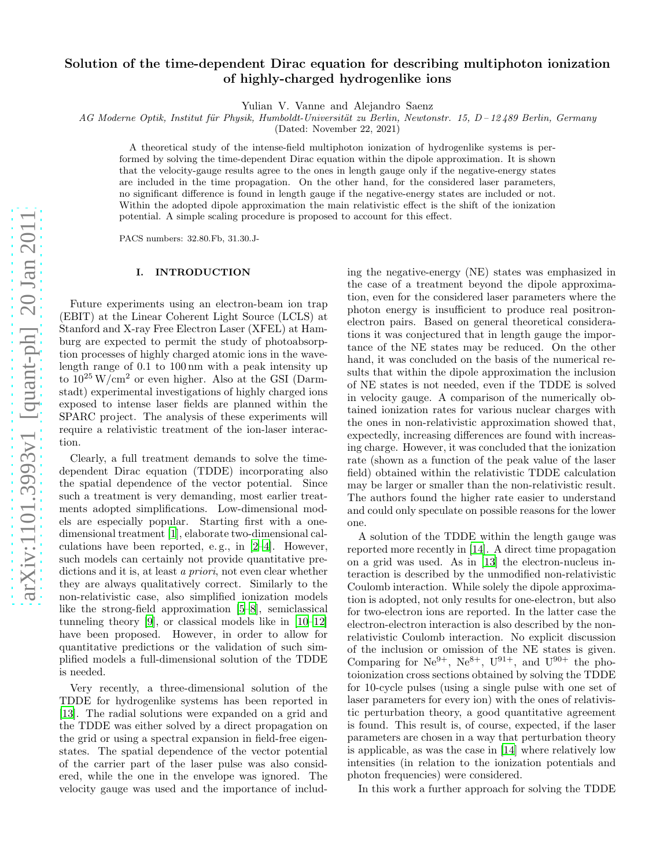# Solution of the time-dependent Dirac equation for describing multiphoton ionization of highly-charged hydrogenlike ions

Yulian V. Vanne and Alejandro Saenz

AG Moderne Optik, Institut für Physik, Humboldt-Universität zu Berlin, Newtonstr. 15, D-12489 Berlin, Germany

(Dated: November 22, 2021)

A theoretical study of the intense-field multiphoton ionization of hydrogenlike systems is performed by solving the time-dependent Dirac equation within the dipole approximation. It is shown that the velocity-gauge results agree to the ones in length gauge only if the negative-energy states are included in the time propagation. On the other hand, for the considered laser parameters, no significant difference is found in length gauge if the negative-energy states are included or not. Within the adopted dipole approximation the main relativistic effect is the shift of the ionization potential. A simple scaling procedure is proposed to account for this effect.

PACS numbers: 32.80.Fb, 31.30.J-

### I. INTRODUCTION

Future experiments using an electron-beam ion trap (EBIT) at the Linear Coherent Light Source (LCLS) at Stanford and X-ray Free Electron Laser (XFEL) at Hamburg are expected to permit the study of photoabsorption processes of highly charged atomic ions in the wavelength range of 0.1 to 100 nm with a peak intensity up to  $10^{25}$  W/cm<sup>2</sup> or even higher. Also at the GSI (Darmstadt) experimental investigations of highly charged ions exposed to intense laser fields are planned within the SPARC project. The analysis of these experiments will require a relativistic treatment of the ion-laser interaction.

Clearly, a full treatment demands to solve the timedependent Dirac equation (TDDE) incorporating also the spatial dependence of the vector potential. Since such a treatment is very demanding, most earlier treatments adopted simplifications. Low-dimensional models are especially popular. Starting first with a onedimensional treatment [\[1\]](#page-7-0), elaborate two-dimensional calculations have been reported, e. g., in [\[2](#page-7-1)[–4\]](#page-7-2). However, such models can certainly not provide quantitative predictions and it is, at least a priori, not even clear whether they are always qualitatively correct. Similarly to the non-relativistic case, also simplified ionization models like the strong-field approximation [\[5](#page-7-3)[–8\]](#page-7-4), semiclassical tunneling theory [\[9](#page-7-5)], or classical models like in [\[10](#page-7-6)[–12\]](#page-7-7) have been proposed. However, in order to allow for quantitative predictions or the validation of such simplified models a full-dimensional solution of the TDDE is needed.

Very recently, a three-dimensional solution of the TDDE for hydrogenlike systems has been reported in [\[13\]](#page-7-8). The radial solutions were expanded on a grid and the TDDE was either solved by a direct propagation on the grid or using a spectral expansion in field-free eigenstates. The spatial dependence of the vector potential of the carrier part of the laser pulse was also considered, while the one in the envelope was ignored. The velocity gauge was used and the importance of includ-

ing the negative-energy (NE) states was emphasized in the case of a treatment beyond the dipole approximation, even for the considered laser parameters where the photon energy is insufficient to produce real positronelectron pairs. Based on general theoretical considerations it was conjectured that in length gauge the importance of the NE states may be reduced. On the other hand, it was concluded on the basis of the numerical results that within the dipole approximation the inclusion of NE states is not needed, even if the TDDE is solved in velocity gauge. A comparison of the numerically obtained ionization rates for various nuclear charges with the ones in non-relativistic approximation showed that, expectedly, increasing differences are found with increasing charge. However, it was concluded that the ionization rate (shown as a function of the peak value of the laser field) obtained within the relativistic TDDE calculation may be larger or smaller than the non-relativistic result. The authors found the higher rate easier to understand and could only speculate on possible reasons for the lower one.

A solution of the TDDE within the length gauge was reported more recently in [\[14](#page-7-9)]. A direct time propagation on a grid was used. As in [\[13\]](#page-7-8) the electron-nucleus interaction is described by the unmodified non-relativistic Coulomb interaction. While solely the dipole approximation is adopted, not only results for one-electron, but also for two-electron ions are reported. In the latter case the electron-electron interaction is also described by the nonrelativistic Coulomb interaction. No explicit discussion of the inclusion or omission of the NE states is given. Comparing for  $Ne^{9+}$ ,  $Ne^{8+}$ ,  $U^{91+}$ , and  $U^{90+}$  the photoionization cross sections obtained by solving the TDDE for 10-cycle pulses (using a single pulse with one set of laser parameters for every ion) with the ones of relativistic perturbation theory, a good quantitative agreement is found. This result is, of course, expected, if the laser parameters are chosen in a way that perturbation theory is applicable, as was the case in [\[14\]](#page-7-9) where relatively low intensities (in relation to the ionization potentials and photon frequencies) were considered.

In this work a further approach for solving the TDDE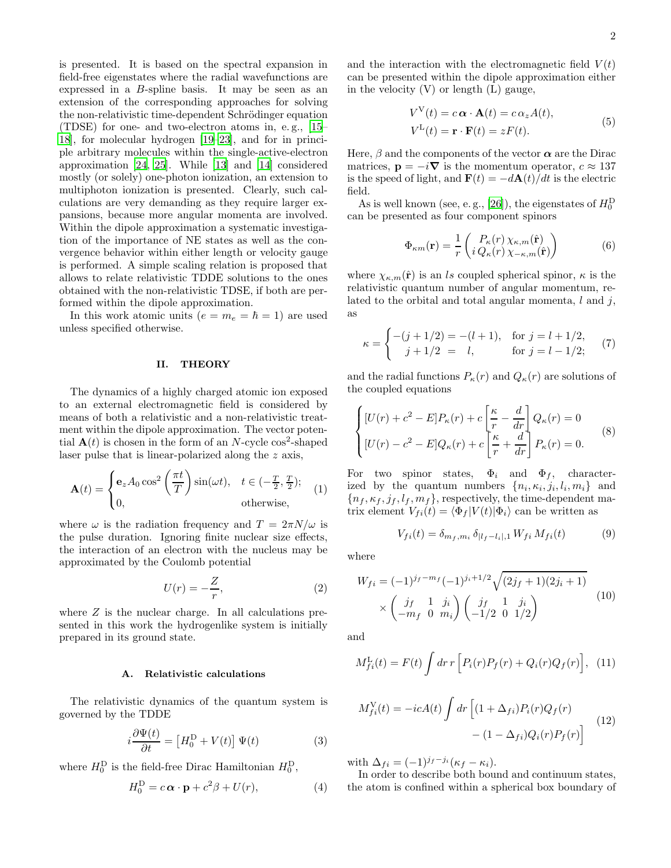is presented. It is based on the spectral expansion in field-free eigenstates where the radial wavefunctions are expressed in a B-spline basis. It may be seen as an extension of the corresponding approaches for solving the non-relativistic time-dependent Schrödinger equation (TDSE) for one- and two-electron atoms in, e. g., [\[15](#page-7-10)– [18\]](#page-7-11), for molecular hydrogen [\[19](#page-7-12)[–23\]](#page-7-13), and for in principle arbitrary molecules within the single-active-electron approximation [\[24](#page-7-14), [25](#page-7-15)]. While [\[13\]](#page-7-8) and [\[14\]](#page-7-9) considered mostly (or solely) one-photon ionization, an extension to multiphoton ionization is presented. Clearly, such calculations are very demanding as they require larger expansions, because more angular momenta are involved. Within the dipole approximation a systematic investigation of the importance of NE states as well as the convergence behavior within either length or velocity gauge is performed. A simple scaling relation is proposed that allows to relate relativistic TDDE solutions to the ones obtained with the non-relativistic TDSE, if both are performed within the dipole approximation.

In this work atomic units  $(e = m_e = \hbar = 1)$  are used unless specified otherwise.

#### II. THEORY

The dynamics of a highly charged atomic ion exposed to an external electromagnetic field is considered by means of both a relativistic and a non-relativistic treatment within the dipole approximation. The vector potential  $\mathbf{A}(t)$  is chosen in the form of an N-cycle cos<sup>2</sup>-shaped laser pulse that is linear-polarized along the z axis,

$$
\mathbf{A}(t) = \begin{cases} \mathbf{e}_z A_0 \cos^2\left(\frac{\pi t}{T}\right) \sin(\omega t), & t \in (-\frac{T}{2}, \frac{T}{2});\\ 0, & \text{otherwise}, \end{cases}
$$
(1)

where  $\omega$  is the radiation frequency and  $T = 2\pi N/\omega$  is the pulse duration. Ignoring finite nuclear size effects, the interaction of an electron with the nucleus may be approximated by the Coulomb potential

$$
U(r) = -\frac{Z}{r},\tag{2}
$$

where  $Z$  is the nuclear charge. In all calculations presented in this work the hydrogenlike system is initially prepared in its ground state.

# <span id="page-1-3"></span>A. Relativistic calculations

The relativistic dynamics of the quantum system is governed by the TDDE

<span id="page-1-2"></span>
$$
i\frac{\partial \Psi(t)}{\partial t} = \left[H_0^{\text{D}} + V(t)\right] \Psi(t)
$$
 (3)

where  $H_0^D$  is the field-free Dirac Hamiltonian  $H_0^D$ ,

$$
H_0^D = c \alpha \cdot \mathbf{p} + c^2 \beta + U(r), \tag{4}
$$

and the interaction with the electromagnetic field  $V(t)$ can be presented within the dipole approximation either in the velocity  $(V)$  or length  $(L)$  gauge,

$$
V^{V}(t) = c \alpha \cdot \mathbf{A}(t) = c \alpha_{z} A(t),
$$
  
\n
$$
V^{L}(t) = \mathbf{r} \cdot \mathbf{F}(t) = zF(t).
$$
\n(5)

Here,  $\beta$  and the components of the vector  $\alpha$  are the Dirac matrices,  $\mathbf{p} = -i\nabla$  is the momentum operator,  $c \approx 137$ is the speed of light, and  $\mathbf{F}(t) = -d\mathbf{A}(t)/dt$  is the electric field.

As is well known (see, e.g., [\[26\]](#page-7-16)), the eigenstates of  $H_0^D$ can be presented as four component spinors

$$
\Phi_{\kappa m}(\mathbf{r}) = \frac{1}{r} \begin{pmatrix} P_{\kappa}(r) \chi_{\kappa, m}(\hat{\mathbf{r}}) \\ i Q_{\kappa}(r) \chi_{-\kappa, m}(\hat{\mathbf{r}}) \end{pmatrix}
$$
(6)

where  $\chi_{\kappa,m}(\hat{\mathbf{r}})$  is an ls coupled spherical spinor,  $\kappa$  is the relativistic quantum number of angular momentum, related to the orbital and total angular momenta,  $l$  and  $j$ , as

$$
\kappa = \begin{cases}\n-(j+1/2) = -(l+1), & \text{for } j = l+1/2, \\
j+1/2 = l, & \text{for } j = l-1/2;\n\end{cases}
$$
(7)

and the radial functions  $P_{\kappa}(r)$  and  $Q_{\kappa}(r)$  are solutions of the coupled equations

<span id="page-1-0"></span>
$$
\begin{cases}\n[U(r) + c^2 - E]P_\kappa(r) + c\left[\frac{\kappa}{r} - \frac{d}{dr}\right]Q_\kappa(r) = 0 \\
[U(r) - c^2 - E]Q_\kappa(r) + c\left[\frac{\kappa}{r} + \frac{d}{dr}\right]P_\kappa(r) = 0.\n\end{cases}
$$
\n(8)

For two spinor states,  $\Phi_i$  and  $\Phi_f$ , characterized by the quantum numbers  $\{n_i, \kappa_i, j_i, l_i, m_i\}$  and  ${n_f, \kappa_f, j_f, l_f, m_f}$ , respectively, the time-dependent matrix element  $V_{fi}(t) = \langle \Phi_f | V(t) | \Phi_i \rangle$  can be written as

<span id="page-1-1"></span>
$$
V_{fi}(t) = \delta_{m_f, m_i} \, \delta_{|l_f - l_i|, 1} \, W_{fi} \, M_{fi}(t) \tag{9}
$$

where

$$
W_{fi} = (-1)^{j_f - m_f} (-1)^{j_i + 1/2} \sqrt{(2j_f + 1)(2j_i + 1)}
$$
  
 
$$
\times \begin{pmatrix} j_f & 1 & j_i \\ -m_f & 0 & m_i \end{pmatrix} \begin{pmatrix} j_f & 1 & j_i \\ -1/2 & 0 & 1/2 \end{pmatrix}
$$
 (10)

and

$$
M_{fi}^{\rm L}(t) = F(t) \int dr \, r \left[ P_i(r) P_f(r) + Q_i(r) Q_f(r) \right], \tag{11}
$$

$$
M_{fi}^{\text{V}}(t) = -icA(t) \int dr \left[ (1 + \Delta_{fi}) P_i(r) Q_f(r) - (1 - \Delta_{fi}) Q_i(r) P_f(r) \right]
$$
(12)

with  $\Delta_{fi} = (-1)^{j_f - j_i} (\kappa_f - \kappa_i).$ 

In order to describe both bound and continuum states, the atom is confined within a spherical box boundary of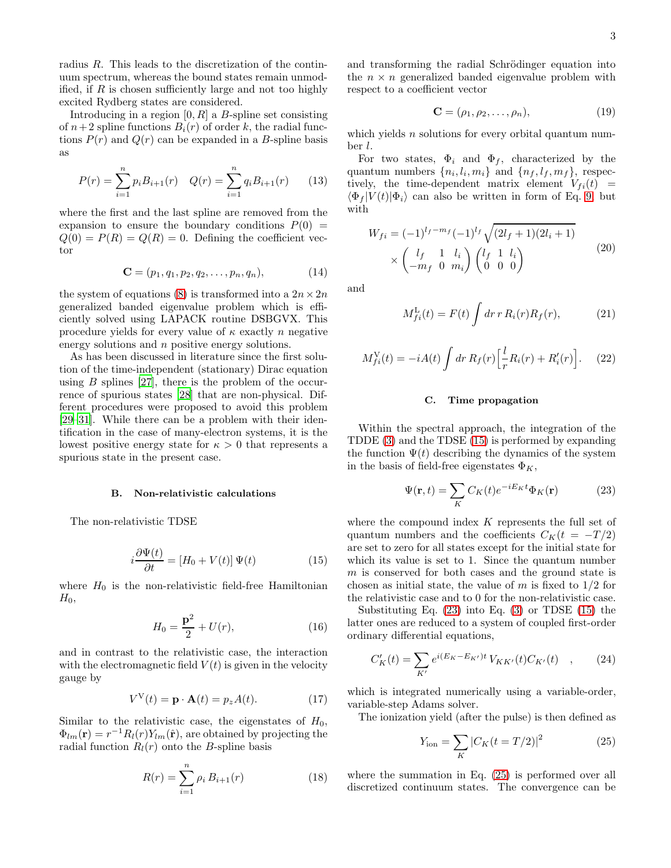radius R. This leads to the discretization of the continuum spectrum, whereas the bound states remain unmodified, if  $R$  is chosen sufficiently large and not too highly excited Rydberg states are considered.

Introducing in a region  $[0, R]$  a B-spline set consisting of  $n+2$  spline functions  $B_i(r)$  of order k, the radial functions  $P(r)$  and  $Q(r)$  can be expanded in a B-spline basis as

$$
P(r) = \sum_{i=1}^{n} p_i B_{i+1}(r) \quad Q(r) = \sum_{i=1}^{n} q_i B_{i+1}(r) \qquad (13)
$$

where the first and the last spline are removed from the expansion to ensure the boundary conditions  $P(0)$  =  $Q(0) = P(R) = Q(R) = 0$ . Defining the coefficient vector

$$
\mathbf{C} = (p_1, q_1, p_2, q_2, \dots, p_n, q_n), \tag{14}
$$

the system of equations [\(8\)](#page-1-0) is transformed into a  $2n \times 2n$ generalized banded eigenvalue problem which is efficiently solved using LAPACK routine DSBGVX. This procedure yields for every value of  $\kappa$  exactly n negative energy solutions and n positive energy solutions.

As has been discussed in literature since the first solution of the time-independent (stationary) Dirac equation using  $B$  splines [\[27\]](#page-7-17), there is the problem of the occurrence of spurious states [\[28\]](#page-7-18) that are non-physical. Different procedures were proposed to avoid this problem [\[29](#page-7-19)[–31\]](#page-7-20). While there can be a problem with their identification in the case of many-electron systems, it is the lowest positive energy state for  $\kappa > 0$  that represents a spurious state in the present case.

#### B. Non-relativistic calculations

The non-relativistic TDSE

<span id="page-2-0"></span>
$$
i\frac{\partial \Psi(t)}{\partial t} = [H_0 + V(t)] \Psi(t)
$$
\n(15)

where  $H_0$  is the non-relativistic field-free Hamiltonian  $H_0$ ,

$$
H_0 = \frac{\mathbf{p}^2}{2} + U(r),\tag{16}
$$

and in contrast to the relativistic case, the interaction with the electromagnetic field  $V(t)$  is given in the velocity gauge by

$$
V^{\mathcal{V}}(t) = \mathbf{p} \cdot \mathbf{A}(t) = p_z A(t). \tag{17}
$$

Similar to the relativistic case, the eigenstates of  $H_0$ ,  $\Phi_{lm}(\mathbf{r}) = r^{-1}R_l(r)Y_{lm}(\hat{\mathbf{r}})$ , are obtained by projecting the radial function  $R_l(r)$  onto the B-spline basis

$$
R(r) = \sum_{i=1}^{n} \rho_i B_{i+1}(r)
$$
 (18)

and transforming the radial Schrödinger equation into the  $n \times n$  generalized banded eigenvalue problem with respect to a coefficient vector

$$
\mathbf{C} = (\rho_1, \rho_2, \dots, \rho_n), \tag{19}
$$

which yields  $n$  solutions for every orbital quantum number l.

For two states,  $\Phi_i$  and  $\Phi_f$ , characterized by the quantum numbers  $\{n_i, l_i, m_i\}$  and  $\{n_f, l_f, m_f\}$ , respectively, the time-dependent matrix element  $V_{fi}(t)$  =  $\langle \Phi_f | V(t) | \Phi_i \rangle$  can also be written in form of Eq. [9,](#page-1-1) but with

$$
W_{fi} = (-1)^{l_f - m_f} (-1)^{l_f} \sqrt{(2l_f + 1)(2l_i + 1)}
$$
  
 
$$
\times \begin{pmatrix} l_f & 1 & l_i \\ -m_f & 0 & m_i \end{pmatrix} \begin{pmatrix} l_f & 1 & l_i \\ 0 & 0 & 0 \end{pmatrix}
$$
 (20)

and

$$
M_{fi}^{\mathcal{L}}(t) = F(t) \int dr \, r \, R_i(r) R_f(r), \tag{21}
$$

$$
M_{fi}^{\text{V}}(t) = -iA(t) \int dr R_f(r) \left[ \frac{l}{r} R_i(r) + R_i'(r) \right]. \tag{22}
$$

#### C. Time propagation

Within the spectral approach, the integration of the TDDE [\(3\)](#page-1-2) and the TDSE [\(15\)](#page-2-0) is performed by expanding the function  $\Psi(t)$  describing the dynamics of the system in the basis of field-free eigenstates  $\Phi_K$ ,

<span id="page-2-1"></span>
$$
\Psi(\mathbf{r},t) = \sum_{K} C_{K}(t)e^{-iE_{K}t}\Phi_{K}(\mathbf{r})
$$
\n(23)

where the compound index  $K$  represents the full set of quantum numbers and the coefficients  $C_K(t = -T/2)$ are set to zero for all states except for the initial state for which its value is set to 1. Since the quantum number m is conserved for both cases and the ground state is chosen as initial state, the value of  $m$  is fixed to  $1/2$  for the relativistic case and to 0 for the non-relativistic case.

Substituting Eq. [\(23\)](#page-2-1) into Eq. [\(3\)](#page-1-2) or TDSE [\(15\)](#page-2-0) the latter ones are reduced to a system of coupled first-order ordinary differential equations,

$$
C'_{K}(t) = \sum_{K'} e^{i(E_{K} - E_{K'})t} V_{KK'}(t) C_{K'}(t) \quad , \tag{24}
$$

which is integrated numerically using a variable-order, variable-step Adams solver.

The ionization yield (after the pulse) is then defined as

<span id="page-2-2"></span>
$$
Y_{\text{ion}} = \sum_{K} |C_K(t = T/2)|^2 \tag{25}
$$

where the summation in Eq. [\(25\)](#page-2-2) is performed over all discretized continuum states. The convergence can be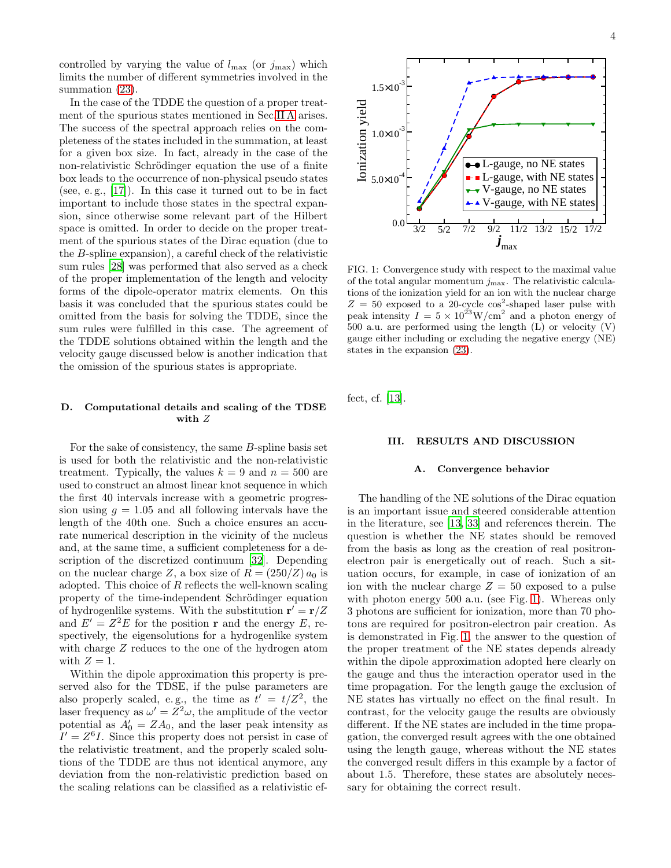controlled by varying the value of  $l_{\text{max}}$  (or  $j_{\text{max}}$ ) which limits the number of different symmetries involved in the summation  $(23)$ .

In the case of the TDDE the question of a proper treatment of the spurious states mentioned in Sec[.II A](#page-1-3) arises. The success of the spectral approach relies on the completeness of the states included in the summation, at least for a given box size. In fact, already in the case of the non-relativistic Schrödinger equation the use of a finite box leads to the occurrence of non-physical pseudo states (see, e. g., [\[17](#page-7-21)]). In this case it turned out to be in fact important to include those states in the spectral expansion, since otherwise some relevant part of the Hilbert space is omitted. In order to decide on the proper treatment of the spurious states of the Dirac equation (due to the B-spline expansion), a careful check of the relativistic sum rules [\[28](#page-7-18)] was performed that also served as a check of the proper implementation of the length and velocity forms of the dipole-operator matrix elements. On this basis it was concluded that the spurious states could be omitted from the basis for solving the TDDE, since the sum rules were fulfilled in this case. The agreement of the TDDE solutions obtained within the length and the velocity gauge discussed below is another indication that the omission of the spurious states is appropriate.

# <span id="page-3-1"></span>D. Computational details and scaling of the TDSE with Z

For the sake of consistency, the same B-spline basis set is used for both the relativistic and the non-relativistic treatment. Typically, the values  $k = 9$  and  $n = 500$  are used to construct an almost linear knot sequence in which the first 40 intervals increase with a geometric progression using  $g = 1.05$  and all following intervals have the length of the 40th one. Such a choice ensures an accurate numerical description in the vicinity of the nucleus and, at the same time, a sufficient completeness for a description of the discretized continuum [\[32\]](#page-7-22). Depending on the nuclear charge Z, a box size of  $R = (250/Z) a_0$  is adopted. This choice of  $R$  reflects the well-known scaling property of the time-independent Schrödinger equation of hydrogenlike systems. With the substitution  $\mathbf{r}' = \mathbf{r}/Z$ and  $E' = Z^2 E$  for the position **r** and the energy E, respectively, the eigensolutions for a hydrogenlike system with charge Z reduces to the one of the hydrogen atom with  $Z = 1$ .

Within the dipole approximation this property is preserved also for the TDSE, if the pulse parameters are also properly scaled, e.g., the time as  $t' = t/Z^2$ , the laser frequency as  $\omega' = Z^2 \omega$ , the amplitude of the vector potential as  $A'_0 = Z A_0$ , and the laser peak intensity as  $I' = Z<sup>6</sup>I$ . Since this property does not persist in case of the relativistic treatment, and the properly scaled solutions of the TDDE are thus not identical anymore, any deviation from the non-relativistic prediction based on the scaling relations can be classified as a relativistic ef-

<span id="page-3-0"></span>FIG. 1: Convergence study with respect to the maximal value of the total angular momentum  $j_{\text{max}}$ . The relativistic calculations of the ionization yield for an ion with the nuclear charge  $Z = 50$  exposed to a 20-cycle cos<sup>2</sup>-shaped laser pulse with peak intensity  $I = 5 \times 10^{23} \text{W/cm}^2$  and a photon energy of 500 a.u. are performed using the length (L) or velocity (V) gauge either including or excluding the negative energy (NE) states in the expansion [\(23\)](#page-2-1).

fect, cf. [\[13](#page-7-8)].

# III. RESULTS AND DISCUSSION

#### A. Convergence behavior

The handling of the NE solutions of the Dirac equation is an important issue and steered considerable attention in the literature, see [\[13,](#page-7-8) [33\]](#page-7-23) and references therein. The question is whether the NE states should be removed from the basis as long as the creation of real positronelectron pair is energetically out of reach. Such a situation occurs, for example, in case of ionization of an ion with the nuclear charge  $Z = 50$  exposed to a pulse with photon energy 500 a.u. (see Fig. [1\)](#page-3-0). Whereas only 3 photons are sufficient for ionization, more than 70 photons are required for positron-electron pair creation. As is demonstrated in Fig. [1,](#page-3-0) the answer to the question of the proper treatment of the NE states depends already within the dipole approximation adopted here clearly on the gauge and thus the interaction operator used in the time propagation. For the length gauge the exclusion of NE states has virtually no effect on the final result. In contrast, for the velocity gauge the results are obviously different. If the NE states are included in the time propagation, the converged result agrees with the one obtained using the length gauge, whereas without the NE states the converged result differs in this example by a factor of about 1.5. Therefore, these states are absolutely necessary for obtaining the correct result.

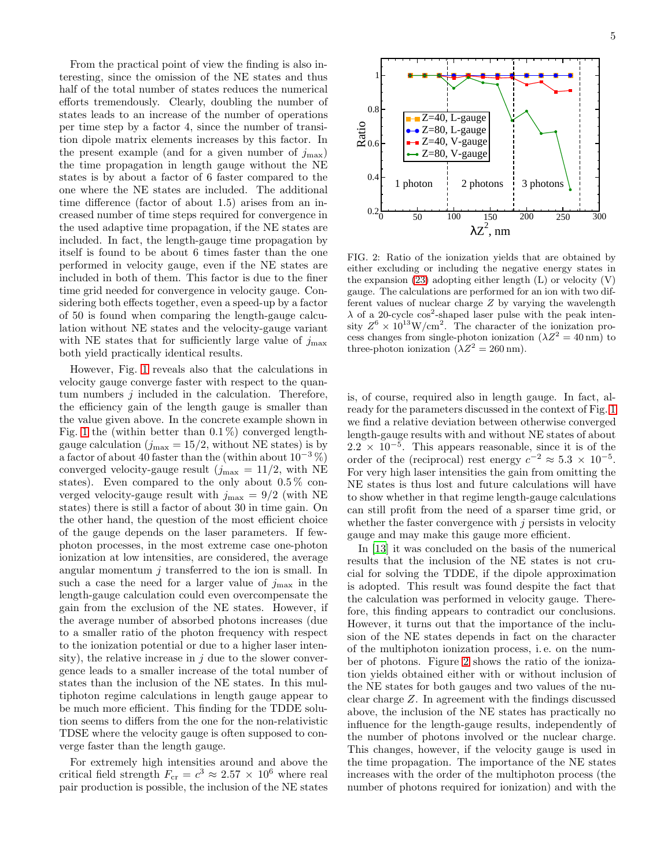From the practical point of view the finding is also interesting, since the omission of the NE states and thus half of the total number of states reduces the numerical efforts tremendously. Clearly, doubling the number of states leads to an increase of the number of operations per time step by a factor 4, since the number of transition dipole matrix elements increases by this factor. In the present example (and for a given number of  $j_{\text{max}}$ ) the time propagation in length gauge without the NE states is by about a factor of 6 faster compared to the one where the NE states are included. The additional time difference (factor of about 1.5) arises from an increased number of time steps required for convergence in the used adaptive time propagation, if the NE states are included. In fact, the length-gauge time propagation by itself is found to be about 6 times faster than the one performed in velocity gauge, even if the NE states are included in both of them. This factor is due to the finer time grid needed for convergence in velocity gauge. Considering both effects together, even a speed-up by a factor of 50 is found when comparing the length-gauge calculation without NE states and the velocity-gauge variant with NE states that for sufficiently large value of  $j_{\text{max}}$ both yield practically identical results.

However, Fig. [1](#page-3-0) reveals also that the calculations in velocity gauge converge faster with respect to the quantum numbers  $j$  included in the calculation. Therefore, the efficiency gain of the length gauge is smaller than the value given above. In the concrete example shown in Fig. [1](#page-3-0) the (within better than  $0.1\%$ ) converged lengthgauge calculation  $(j_{\text{max}} = 15/2, \text{without NE states})$  is by a factor of about 40 faster than the (within about  $10^{-3}$  %) converged velocity-gauge result  $(j_{\text{max}} = 11/2, \text{ with NE})$ states). Even compared to the only about  $0.5\%$  converged velocity-gauge result with  $j_{\text{max}} = 9/2$  (with NE states) there is still a factor of about 30 in time gain. On the other hand, the question of the most efficient choice of the gauge depends on the laser parameters. If fewphoton processes, in the most extreme case one-photon ionization at low intensities, are considered, the average angular momentum  $j$  transferred to the ion is small. In such a case the need for a larger value of  $j_{\text{max}}$  in the length-gauge calculation could even overcompensate the gain from the exclusion of the NE states. However, if the average number of absorbed photons increases (due to a smaller ratio of the photon frequency with respect to the ionization potential or due to a higher laser intensity), the relative increase in  $j$  due to the slower convergence leads to a smaller increase of the total number of states than the inclusion of the NE states. In this multiphoton regime calculations in length gauge appear to be much more efficient. This finding for the TDDE solution seems to differs from the one for the non-relativistic TDSE where the velocity gauge is often supposed to converge faster than the length gauge.

For extremely high intensities around and above the critical field strength  $F_{cr} = c^3 \approx 2.57 \times 10^6$  where real pair production is possible, the inclusion of the NE states



<span id="page-4-0"></span>FIG. 2: Ratio of the ionization yields that are obtained by either excluding or including the negative energy states in the expansion  $(23)$  adopting either length  $(L)$  or velocity  $(V)$ gauge. The calculations are performed for an ion with two different values of nuclear charge Z by varying the wavelength  $\lambda$  of a 20-cycle cos<sup>2</sup>-shaped laser pulse with the peak intensity  $Z^6 \times 10^{13} \text{W/cm}^2$ . The character of the ionization process changes from single-photon ionization  $(\lambda Z^2 = 40 \text{ nm})$  to three-photon ionization  $(\lambda Z^2 = 260 \text{ nm})$ .

is, of course, required also in length gauge. In fact, already for the parameters discussed in the context of Fig. [1](#page-3-0) we find a relative deviation between otherwise converged length-gauge results with and without NE states of about  $2.2 \times 10^{-5}$ . This appears reasonable, since it is of the order of the (reciprocal) rest energy  $c^{-2} \approx 5.3 \times 10^{-5}$ . For very high laser intensities the gain from omitting the NE states is thus lost and future calculations will have to show whether in that regime length-gauge calculations can still profit from the need of a sparser time grid, or whether the faster convergence with  $j$  persists in velocity gauge and may make this gauge more efficient.

In [\[13](#page-7-8)] it was concluded on the basis of the numerical results that the inclusion of the NE states is not crucial for solving the TDDE, if the dipole approximation is adopted. This result was found despite the fact that the calculation was performed in velocity gauge. Therefore, this finding appears to contradict our conclusions. However, it turns out that the importance of the inclusion of the NE states depends in fact on the character of the multiphoton ionization process, i. e. on the number of photons. Figure [2](#page-4-0) shows the ratio of the ionization yields obtained either with or without inclusion of the NE states for both gauges and two values of the nuclear charge Z. In agreement with the findings discussed above, the inclusion of the NE states has practically no influence for the length-gauge results, independently of the number of photons involved or the nuclear charge. This changes, however, if the velocity gauge is used in the time propagation. The importance of the NE states increases with the order of the multiphoton process (the number of photons required for ionization) and with the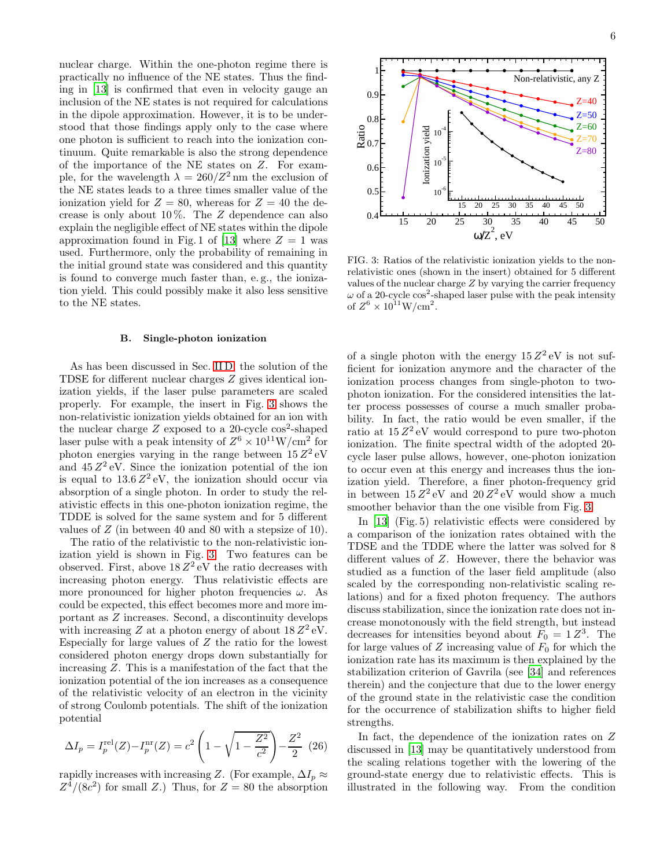nuclear charge. Within the one-photon regime there is practically no influence of the NE states. Thus the finding in [\[13](#page-7-8)] is confirmed that even in velocity gauge an inclusion of the NE states is not required for calculations in the dipole approximation. However, it is to be understood that those findings apply only to the case where one photon is sufficient to reach into the ionization continuum. Quite remarkable is also the strong dependence of the importance of the NE states on Z. For example, for the wavelength  $\lambda = 260/Z^2$  nm the exclusion of the NE states leads to a three times smaller value of the ionization yield for  $Z = 80$ , whereas for  $Z = 40$  the decrease is only about  $10\%$ . The Z dependence can also explain the negligible effect of NE states within the dipole approximation found in Fig. 1 of [\[13\]](#page-7-8) where  $Z = 1$  was used. Furthermore, only the probability of remaining in the initial ground state was considered and this quantity is found to converge much faster than, e. g., the ionization yield. This could possibly make it also less sensitive to the NE states.

#### B. Single-photon ionization

As has been discussed in Sec. [II D,](#page-3-1) the solution of the TDSE for different nuclear charges Z gives identical ionization yields, if the laser pulse parameters are scaled properly. For example, the insert in Fig. [3](#page-5-0) shows the non-relativistic ionization yields obtained for an ion with the nuclear charge  $Z$  exposed to a 20-cycle  $\cos^2$ -shaped laser pulse with a peak intensity of  $Z^6 \times 10^{11} \text{W/cm}^2$  for photon energies varying in the range between  $15 Z^2$  eV and  $45 Z<sup>2</sup>$  eV. Since the ionization potential of the ion is equal to  $13.6 Z^2$  eV, the ionization should occur via absorption of a single photon. In order to study the relativistic effects in this one-photon ionization regime, the TDDE is solved for the same system and for 5 different values of Z (in between 40 and 80 with a stepsize of 10).

The ratio of the relativistic to the non-relativistic ionization yield is shown in Fig. [3.](#page-5-0) Two features can be observed. First, above  $18 Z^2$  eV the ratio decreases with increasing photon energy. Thus relativistic effects are more pronounced for higher photon frequencies  $\omega$ . As could be expected, this effect becomes more and more important as Z increases. Second, a discontinuity develops with increasing Z at a photon energy of about  $18 Z^2$  eV. Especially for large values of Z the ratio for the lowest considered photon energy drops down substantially for increasing Z. This is a manifestation of the fact that the ionization potential of the ion increases as a consequence of the relativistic velocity of an electron in the vicinity of strong Coulomb potentials. The shift of the ionization potential

$$
\Delta I_p = I_p^{\text{rel}}(Z) - I_p^{\text{nr}}(Z) = c^2 \left( 1 - \sqrt{1 - \frac{Z^2}{c^2}} \right) - \frac{Z^2}{2} \tag{26}
$$

rapidly increases with increasing Z. (For example,  $\Delta I_p \approx$  $Z^4/(8c^2)$  for small Z.) Thus, for  $Z = 80$  the absorption



<span id="page-5-0"></span>FIG. 3: Ratios of the relativistic ionization yields to the nonrelativistic ones (shown in the insert) obtained for 5 different values of the nuclear charge Z by varying the carrier frequency  $\omega$  of a 20-cycle cos<sup>2</sup>-shaped laser pulse with the peak intensity of  $Z^6 \times 10^{11} \text{W/cm}^2$ .

of a single photon with the energy  $15 Z^2$  eV is not sufficient for ionization anymore and the character of the ionization process changes from single-photon to twophoton ionization. For the considered intensities the latter process possesses of course a much smaller probability. In fact, the ratio would be even smaller, if the ratio at  $15 Z<sup>2</sup>$  eV would correspond to pure two-photon ionization. The finite spectral width of the adopted 20 cycle laser pulse allows, however, one-photon ionization to occur even at this energy and increases thus the ionization yield. Therefore, a finer photon-frequency grid in between  $15 Z^2$  eV and  $20 Z^2$  eV would show a much smoother behavior than the one visible from Fig. [3.](#page-5-0)

In [\[13](#page-7-8)] (Fig. 5) relativistic effects were considered by a comparison of the ionization rates obtained with the TDSE and the TDDE where the latter was solved for 8 different values of Z. However, there the behavior was studied as a function of the laser field amplitude (also scaled by the corresponding non-relativistic scaling relations) and for a fixed photon frequency. The authors discuss stabilization, since the ionization rate does not increase monotonously with the field strength, but instead decreases for intensities beyond about  $F_0 = 1 Z^3$ . The for large values of  $Z$  increasing value of  $F_0$  for which the ionization rate has its maximum is then explained by the stabilization criterion of Gavrila (see [\[34\]](#page-7-24) and references therein) and the conjecture that due to the lower energy of the ground state in the relativistic case the condition for the occurrence of stabilization shifts to higher field strengths.

In fact, the dependence of the ionization rates on Z discussed in [\[13\]](#page-7-8) may be quantitatively understood from the scaling relations together with the lowering of the ground-state energy due to relativistic effects. This is illustrated in the following way. From the condition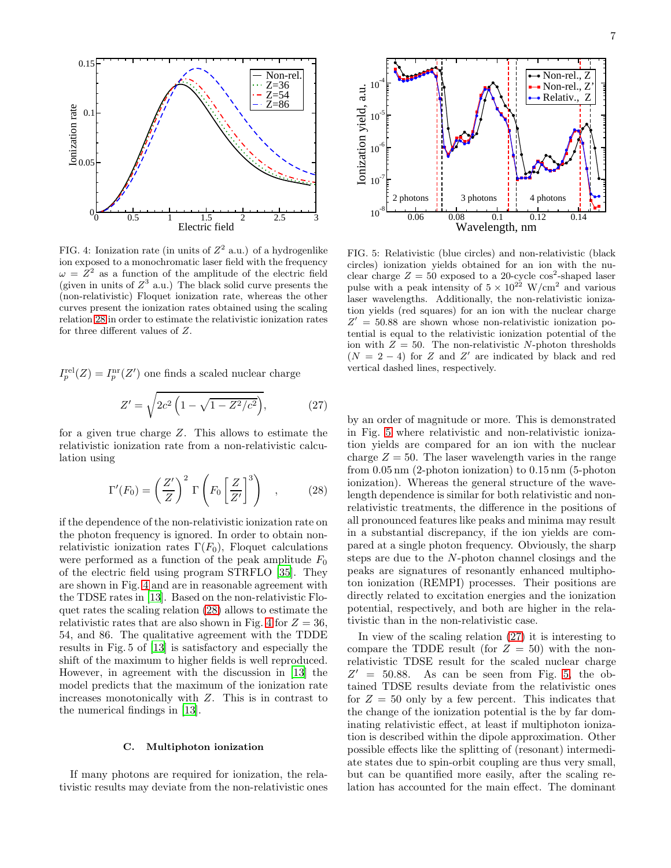

<span id="page-6-1"></span>FIG. 4: Ionization rate (in units of  $Z^2$  a.u.) of a hydrogenlike ion exposed to a monochromatic laser field with the frequency  $\omega = \dot{Z}^2$  as a function of the amplitude of the electric field (given in units of  $Z^3$  a.u.) The black solid curve presents the (non-relativistic) Floquet ionization rate, whereas the other curves present the ionization rates obtained using the scaling relation [28](#page-6-0) in order to estimate the relativistic ionization rates for three different values of Z.

 $I_p^{\text{rel}}(Z) = I_p^{\text{nr}}(Z')$  one finds a scaled nuclear charge

<span id="page-6-3"></span>
$$
Z' = \sqrt{2c^2 \left(1 - \sqrt{1 - Z^2/c^2}\right)},
$$
 (27)

for a given true charge Z. This allows to estimate the relativistic ionization rate from a non-relativistic calculation using

<span id="page-6-0"></span>
$$
\Gamma'(F_0) = \left(\frac{Z'}{Z}\right)^2 \Gamma\left(F_0 \left[\frac{Z}{Z'}\right]^3\right) ,\qquad (28)
$$

if the dependence of the non-relativistic ionization rate on the photon frequency is ignored. In order to obtain nonrelativistic ionization rates  $\Gamma(F_0)$ , Floquet calculations were performed as a function of the peak amplitude  $F_0$ of the electric field using program STRFLO [\[35\]](#page-7-25). They are shown in Fig. [4](#page-6-1) and are in reasonable agreement with the TDSE rates in [\[13\]](#page-7-8). Based on the non-relativistic Floquet rates the scaling relation [\(28\)](#page-6-0) allows to estimate the relativistic rates that are also shown in Fig. [4](#page-6-1) for  $Z = 36$ , 54, and 86. The qualitative agreement with the TDDE results in Fig. 5 of [\[13\]](#page-7-8) is satisfactory and especially the shift of the maximum to higher fields is well reproduced. However, in agreement with the discussion in [\[13\]](#page-7-8) the model predicts that the maximum of the ionization rate increases monotonically with Z. This is in contrast to the numerical findings in [\[13](#page-7-8)].

### C. Multiphoton ionization

If many photons are required for ionization, the relativistic results may deviate from the non-relativistic ones



<span id="page-6-2"></span>FIG. 5: Relativistic (blue circles) and non-relativistic (black circles) ionization yields obtained for an ion with the nuclear charge  $Z = 50$  exposed to a 20-cycle cos<sup>2</sup>-shaped laser pulse with a peak intensity of  $5 \times 10^{22}$  W/cm<sup>2</sup> and various laser wavelengths. Additionally, the non-relativistic ionization yields (red squares) for an ion with the nuclear charge  $Z' = 50.88$  are shown whose non-relativistic ionization potential is equal to the relativistic ionization potential of the ion with  $Z = 50$ . The non-relativistic N-photon thresholds  $(N = 2 - 4)$  for Z and Z' are indicated by black and red vertical dashed lines, respectively.

by an order of magnitude or more. This is demonstrated in Fig. [5](#page-6-2) where relativistic and non-relativistic ionization yields are compared for an ion with the nuclear charge  $Z = 50$ . The laser wavelength varies in the range from 0.05 nm (2-photon ionization) to 0.15 nm (5-photon ionization). Whereas the general structure of the wavelength dependence is similar for both relativistic and nonrelativistic treatments, the difference in the positions of all pronounced features like peaks and minima may result in a substantial discrepancy, if the ion yields are compared at a single photon frequency. Obviously, the sharp steps are due to the N-photon channel closings and the peaks are signatures of resonantly enhanced multiphoton ionization (REMPI) processes. Their positions are directly related to excitation energies and the ionization potential, respectively, and both are higher in the relativistic than in the non-relativistic case.

In view of the scaling relation [\(27\)](#page-6-3) it is interesting to compare the TDDE result (for  $Z = 50$ ) with the nonrelativistic TDSE result for the scaled nuclear charge  $Z' = 50.88$ . As can be seen from Fig. [5,](#page-6-2) the obtained TDSE results deviate from the relativistic ones for  $Z = 50$  only by a few percent. This indicates that the change of the ionization potential is the by far dominating relativistic effect, at least if multiphoton ionization is described within the dipole approximation. Other possible effects like the splitting of (resonant) intermediate states due to spin-orbit coupling are thus very small, but can be quantified more easily, after the scaling relation has accounted for the main effect. The dominant